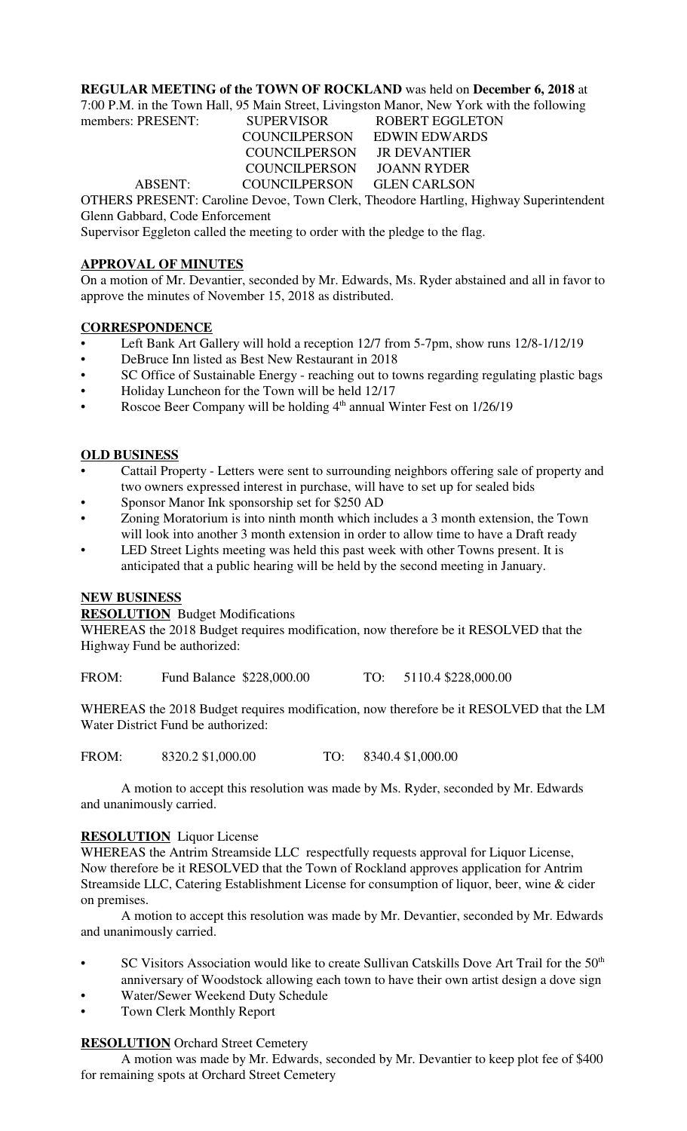### **REGULAR MEETING of the TOWN OF ROCKLAND** was held on **December 6, 2018** at

7:00 P.M. in the Town Hall, 95 Main Street, Livingston Manor, New York with the following

# members: PRESENT: SUPERVISOR ROBERT EGGLETON COUNCILPERSON EDWIN EDWARDS COUNCILPERSON JR DEVANTIER COUNCILPERSON JOANN RYDER ABSENT: COUNCILPERSON GLEN CARLSON

OTHERS PRESENT: Caroline Devoe, Town Clerk, Theodore Hartling, Highway Superintendent Glenn Gabbard, Code Enforcement

Supervisor Eggleton called the meeting to order with the pledge to the flag.

## **APPROVAL OF MINUTES**

On a motion of Mr. Devantier, seconded by Mr. Edwards, Ms. Ryder abstained and all in favor to approve the minutes of November 15, 2018 as distributed.

### **CORRESPONDENCE**

- Left Bank Art Gallery will hold a reception 12/7 from 5-7pm, show runs 12/8-1/12/19
- DeBruce Inn listed as Best New Restaurant in 2018
- SC Office of Sustainable Energy reaching out to towns regarding regulating plastic bags
- Holiday Luncheon for the Town will be held 12/17
- Roscoe Beer Company will be holding 4<sup>th</sup> annual Winter Fest on 1/26/19

### **OLD BUSINESS**

- Cattail Property Letters were sent to surrounding neighbors offering sale of property and two owners expressed interest in purchase, will have to set up for sealed bids
- Sponsor Manor Ink sponsorship set for \$250 AD
- Zoning Moratorium is into ninth month which includes a 3 month extension, the Town will look into another 3 month extension in order to allow time to have a Draft ready
- LED Street Lights meeting was held this past week with other Towns present. It is anticipated that a public hearing will be held by the second meeting in January.

### **NEW BUSINESS**

**RESOLUTION** Budget Modifications

WHEREAS the 2018 Budget requires modification, now therefore be it RESOLVED that the Highway Fund be authorized:

FROM: Fund Balance \$228,000.00 TO: 5110.4 \$228,000.00

WHEREAS the 2018 Budget requires modification, now therefore be it RESOLVED that the LM Water District Fund be authorized:

FROM: 8320.2 \$1,000.00 TO: 8340.4 \$1,000.00

A motion to accept this resolution was made by Ms. Ryder, seconded by Mr. Edwards and unanimously carried.

### **RESOLUTION** Liquor License

WHEREAS the Antrim Streamside LLC respectfully requests approval for Liquor License, Now therefore be it RESOLVED that the Town of Rockland approves application for Antrim Streamside LLC, Catering Establishment License for consumption of liquor, beer, wine & cider on premises.

A motion to accept this resolution was made by Mr. Devantier, seconded by Mr. Edwards and unanimously carried.

- SC Visitors Association would like to create Sullivan Catskills Dove Art Trail for the 50<sup>th</sup> anniversary of Woodstock allowing each town to have their own artist design a dove sign
- Water/Sewer Weekend Duty Schedule
- Town Clerk Monthly Report

### **RESOLUTION** Orchard Street Cemetery

A motion was made by Mr. Edwards, seconded by Mr. Devantier to keep plot fee of \$400 for remaining spots at Orchard Street Cemetery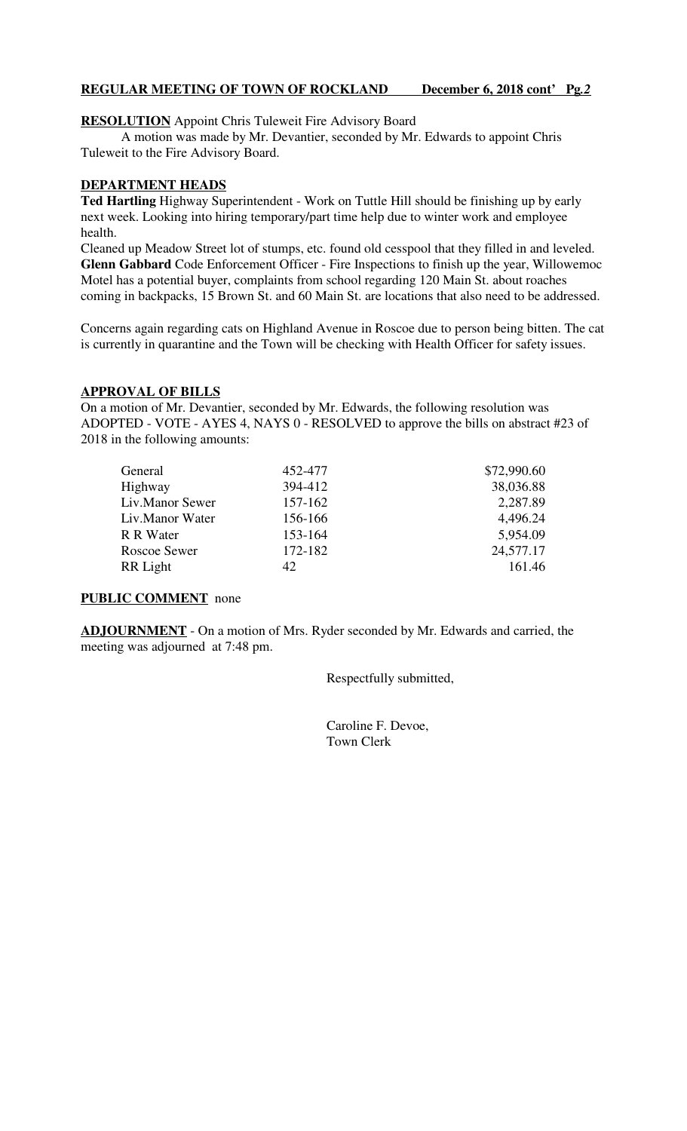### **REGULAR MEETING OF TOWN OF ROCKLAND December 6, 2018 cont' Pg***.2*

**RESOLUTION** Appoint Chris Tuleweit Fire Advisory Board

A motion was made by Mr. Devantier, seconded by Mr. Edwards to appoint Chris Tuleweit to the Fire Advisory Board.

### **DEPARTMENT HEADS**

**Ted Hartling** Highway Superintendent - Work on Tuttle Hill should be finishing up by early next week. Looking into hiring temporary/part time help due to winter work and employee health.

Cleaned up Meadow Street lot of stumps, etc. found old cesspool that they filled in and leveled. **Glenn Gabbard** Code Enforcement Officer - Fire Inspections to finish up the year, Willowemoc Motel has a potential buyer, complaints from school regarding 120 Main St. about roaches coming in backpacks, 15 Brown St. and 60 Main St. are locations that also need to be addressed.

Concerns again regarding cats on Highland Avenue in Roscoe due to person being bitten. The cat is currently in quarantine and the Town will be checking with Health Officer for safety issues.

#### **APPROVAL OF BILLS**

On a motion of Mr. Devantier, seconded by Mr. Edwards, the following resolution was ADOPTED - VOTE - AYES 4, NAYS 0 - RESOLVED to approve the bills on abstract #23 of 2018 in the following amounts:

| General         | 452-477 | \$72,990.60 |
|-----------------|---------|-------------|
| Highway         | 394-412 | 38,036.88   |
| Liv.Manor Sewer | 157-162 | 2,287.89    |
| Liv.Manor Water | 156-166 | 4,496.24    |
| R R Water       | 153-164 | 5,954.09    |
| Roscoe Sewer    | 172-182 | 24,577.17   |
| RR Light        | 42      | 161.46      |

### **PUBLIC COMMENT** none

**ADJOURNMENT** - On a motion of Mrs. Ryder seconded by Mr. Edwards and carried, the meeting was adjourned at 7:48 pm.

Respectfully submitted,

 Caroline F. Devoe, Town Clerk